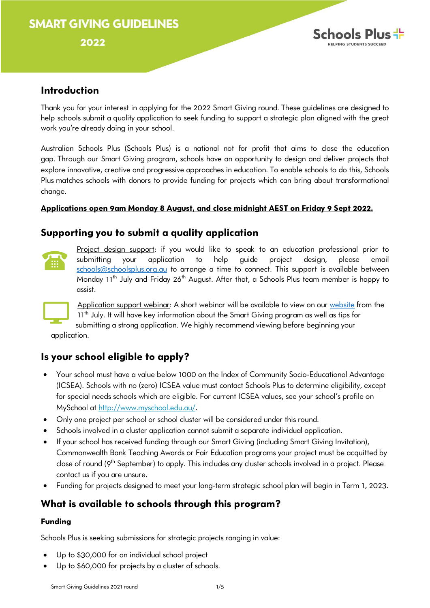# **SMART GIVING GUIDELINES**

#### 2022



### **Introduction**

Thank you for your interest in applying for the 2022 Smart Giving round. These guidelines are designed to help schools submit a quality application to seek funding to support a strategic plan aligned with the great work you're already doing in your school.

Australian Schools Plus (Schools Plus) is a national not for profit that aims to close the education gap. Through our Smart Giving program, schools have an opportunity to design and deliver projects that explore innovative, creative and progressive approaches in education. To enable schools to do this, Schools Plus matches schools with donors to provide funding for projects which can bring about transformational change.

#### **Applications open 9am Monday 8 August, and close midnight AEST on Friday 9 Sept 2022.**

## **Supporting you to submit a quality application**



Project design support: if you would like to speak to an education professional prior to submitting your application to help guide project design, please email [schools@schoolsplus.org.au](mailto:schools@schoolsplus.org.au) to arrange a time to connect. This support is available between Monday 11<sup>th</sup> July and Friday 26<sup>th</sup> August. After that, a Schools Plus team member is happy to assist.



Application support webinar: A short webinar will be available to view on our [website](https://www.schoolsplus.org.au/for-schools/smart-giving/) from the 11<sup>th</sup> July. It will have key information about the Smart Giving program as well as tips for submitting a strong application. We highly recommend viewing before beginning your application.

## **Is your school eligible to apply?**

- Your school must have a value below 1000 on the Index of Community Socio-Educational Advantage (ICSEA). Schools with no (zero) ICSEA value must contact Schools Plus to determine eligibility, except for special needs schools which are eligible. For current ICSEA values, see your school's profile on MySchool at [http://www.myschool.edu.au/.](http://www.myschool.edu.au/)
- Only one project per school or school cluster will be considered under this round.
- Schools involved in a cluster application cannot submit a separate individual application.
- If your school has received funding through our Smart Giving (including Smart Giving Invitation), Commonwealth Bank Teaching Awards or Fair Education programs your project must be acquitted by close of round (9<sup>th</sup> September) to apply. This includes any cluster schools involved in a project. Please contact us if you are unsure.
- Funding for projects designed to meet your long-term strategic school plan will begin in Term 1, 2023.

## **What is available to schools through this program?**

#### **Funding**

Schools Plus is seeking submissions for strategic projects ranging in value:

- Up to \$30,000 for an individual school project
- Up to \$60,000 for projects by a cluster of schools.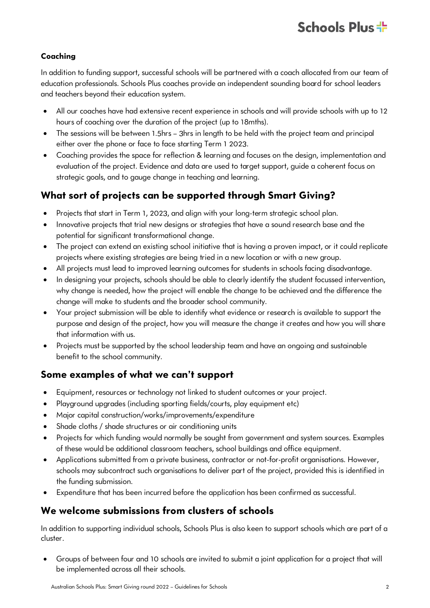#### **Coaching**

In addition to funding support, successful schools will be partnered with a coach allocated from our team of education professionals. Schools Plus coaches provide an independent sounding board for school leaders and teachers beyond their education system.

- All our coaches have had extensive recent experience in schools and will provide schools with up to 12 hours of coaching over the duration of the project (up to 18mths).
- The sessions will be between 1.5hrs 3hrs in length to be held with the project team and principal either over the phone or face to face starting Term 1 2023.
- Coaching provides the space for reflection & learning and focuses on the design, implementation and evaluation of the project. Evidence and data are used to target support, guide a coherent focus on strategic goals, and to gauge change in teaching and learning.

## **What sort of projects can be supported through Smart Giving?**

- Projects that start in Term 1, 2023, and align with your long-term strategic school plan.
- Innovative projects that trial new designs or strategies that have a sound research base and the potential for significant transformational change.
- The project can extend an existing school initiative that is having a proven impact, or it could replicate projects where existing strategies are being tried in a new location or with a new group.
- All projects must lead to improved learning outcomes for students in schools facing disadvantage.
- In designing your projects, schools should be able to clearly identify the student focussed intervention, why change is needed, how the project will enable the change to be achieved and the difference the change will make to students and the broader school community.
- Your project submission will be able to identify what evidence or research is available to support the purpose and design of the project, how you will measure the change it creates and how you will share that information with us.
- Projects must be supported by the school leadership team and have an ongoing and sustainable benefit to the school community.

### **Some examples of what we can't support**

- Equipment, resources or technology not linked to student outcomes or your project.
- Playground upgrades (including sporting fields/courts, play equipment etc)
- Major capital construction/works/improvements/expenditure
- Shade cloths / shade structures or air conditioning units
- Projects for which funding would normally be sought from government and system sources. Examples of these would be additional classroom teachers, school buildings and office equipment.
- Applications submitted from a private business, contractor or not-for-profit organisations. However, schools may subcontract such organisations to deliver part of the project, provided this is identified in the funding submission.
- Expenditure that has been incurred before the application has been confirmed as successful.

## **We welcome submissions from clusters of schools**

In addition to supporting individual schools, Schools Plus is also keen to support schools which are part of a cluster.

• Groups of between four and 10 schools are invited to submit a joint application for a project that will be implemented across all their schools.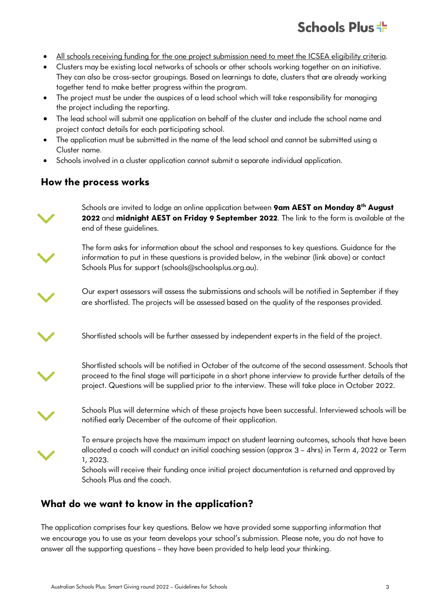# Schools Plus +

- All schools receiving funding for the one project submission need to meet the ICSEA eligibility criteria.
- Clusters may be existing local networks of schools or other schools working together on an initiative. They can also be cross-sector groupings. Based on learnings to date, clusters that are already working together tend to make better progress within the program.
- The project must be under the auspices of a lead school which will take responsibility for managing the project including the reporting.
- The lead school will submit one application on behalf of the cluster and include the school name and project contact details for each participating school.
- The application must be submitted in the name of the lead school and cannot be submitted using a Cluster name.
- Schools involved in a cluster application cannot submit a separate individual application.

## **How the process works**

Schools are invited to lodge an online application between **9am AEST on Monday 8th August 2022** and **midnight AEST on Friday 9 September 2022**. The link to the form is available at the end of these guidelines.

The form asks for information about the school and responses to key questions. Guidance for the information to put in these questions is provided below, in the webinar (link above) or contact Schools Plus for support (schools@schoolsplus.org.au).



Our expert assessors will assess the submissions and schools will be notified in September if they are shortlisted. The projects will be assessed based on the quality of the responses provided.

Shortlisted schools will be further assessed by independent experts in the field of the project.



Shortlisted schools will be notified in October of the outcome of the second assessment. Schools that proceed to the final stage will participate in a short phone interview to provide further details of the project. Questions will be supplied prior to the interview. These will take place in October 2022.



Schools Plus will determine which of these projects have been successful. Interviewed schools will be notified early December of the outcome of their application.



To ensure projects have the maximum impact on student learning outcomes, schools that have been allocated a coach will conduct an initial coaching session (approx 3 – 4hrs) in Term 4, 2022 or Term 1, 2023.

Schools will receive their funding once initial project documentation is returned and approved by Schools Plus and the coach.

## **What do we want to know in the application?**

The application comprises four key questions. Below we have provided some supporting information that we encourage you to use as your team develops your school's submission. Please note, you do not have to answer all the supporting questions – they have been provided to help lead your thinking.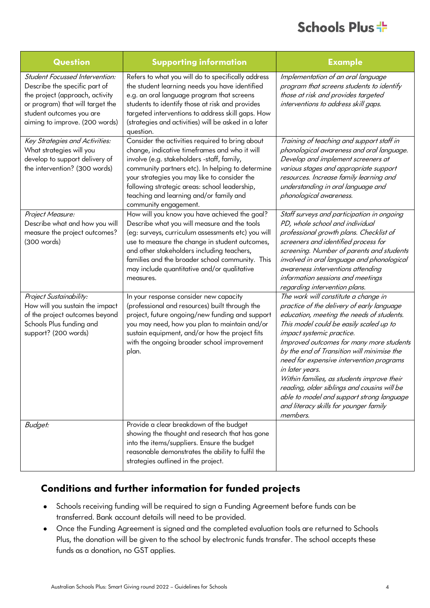# Schools Plus +

| Question                                                                                                                                                                                             | <b>Supporting information</b>                                                                                                                                                                                                                                                                                                                                           | <b>Example</b>                                                                                                                                                                                                                                                                                                                                                                                                                                                                                                                                                   |
|------------------------------------------------------------------------------------------------------------------------------------------------------------------------------------------------------|-------------------------------------------------------------------------------------------------------------------------------------------------------------------------------------------------------------------------------------------------------------------------------------------------------------------------------------------------------------------------|------------------------------------------------------------------------------------------------------------------------------------------------------------------------------------------------------------------------------------------------------------------------------------------------------------------------------------------------------------------------------------------------------------------------------------------------------------------------------------------------------------------------------------------------------------------|
| Student Focussed Intervention:<br>Describe the specific part of<br>the project (approach, activity<br>or program) that will target the<br>student outcomes you are<br>aiming to improve. (200 words) | Refers to what you will do to specifically address<br>the student learning needs you have identified<br>e.g. an oral language program that screens<br>students to identify those at risk and provides<br>targeted interventions to address skill gaps. How<br>(strategies and activities) will be asked in a later<br>question.                                         | Implementation of an oral language<br>program that screens students to identify<br>those at risk and provides targeted<br>interventions to address skill gaps.                                                                                                                                                                                                                                                                                                                                                                                                   |
| Key Strategies and Activities:<br>What strategies will you<br>develop to support delivery of<br>the intervention? (300 words)                                                                        | Consider the activities required to bring about<br>change, indicative timeframes and who it will<br>involve (e.g. stakeholders -staff, family,<br>community partners etc). In helping to determine<br>your strategies you may like to consider the<br>following strategic areas: school leadership,<br>teaching and learning and/or family and<br>community engagement. | Training of teaching and support staff in<br>phonological awareness and oral language.<br>Develop and implement screeners at<br>various stages and appropriate support<br>resources. Increase family learning and<br>understanding in oral language and<br>phonological awareness.                                                                                                                                                                                                                                                                               |
| Project Measure:<br>Describe what and how you will<br>measure the project outcomes?<br>(300 words)                                                                                                   | How will you know you have achieved the goal?<br>Describe what you will measure and the tools<br>(eg: surveys, curriculum assessments etc) you will<br>use to measure the change in student outcomes,<br>and other stakeholders including teachers,<br>families and the broader school community. This<br>may include quantitative and/or qualitative<br>measures.      | Staff surveys and participation in ongoing<br>PD, whole school and individual<br>professional growth plans. Checklist of<br>screeners and identified process for<br>screening. Number of parents and students<br>involved in oral language and phonological<br>awareness interventions attending<br>information sessions and meetings<br>regarding intervention plans.                                                                                                                                                                                           |
| Project Sustainability:<br>How will you sustain the impact<br>of the project outcomes beyond<br>Schools Plus funding and<br>support? (200 words)                                                     | In your response consider new capacity<br>(professional and resources) built through the<br>project, future ongoing/new funding and support<br>you may need, how you plan to maintain and/or<br>sustain equipment, and/or how the project fits<br>with the ongoing broader school improvement<br>plan.                                                                  | The work will constitute a change in<br>practice of the delivery of early language<br>education, meeting the needs of students.<br>This model could be easily scaled up to<br>impact systemic practice.<br>Improved outcomes for many more students<br>by the end of Transition will minimise the<br>need for expensive intervention programs<br>in later years.<br>Within families, as students improve their<br>reading, older siblings and cousins will be<br>able to model and support strong language<br>and literacy skills for younger family<br>members. |
| Budget:                                                                                                                                                                                              | Provide a clear breakdown of the budget<br>showing the thought and research that has gone<br>into the items/suppliers. Ensure the budget<br>reasonable demonstrates the ability to fulfil the<br>strategies outlined in the project.                                                                                                                                    |                                                                                                                                                                                                                                                                                                                                                                                                                                                                                                                                                                  |

## **Conditions and further information for funded projects**

- Schools receiving funding will be required to sign a Funding Agreement before funds can be transferred. Bank account details will need to be provided.
- Once the Funding Agreement is signed and the completed evaluation tools are returned to Schools Plus, the donation will be given to the school by electronic funds transfer. The school accepts these funds as a donation, no GST applies.